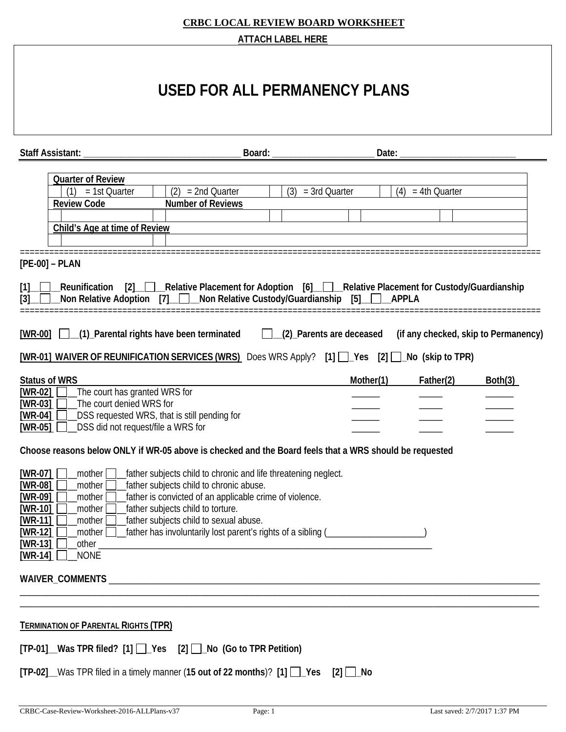|                                                                                                                                                                                                                                                                                                                                                                                                                                                                         | <b>ATTACH LABEL HERE</b>      |                 |                     |                                      |
|-------------------------------------------------------------------------------------------------------------------------------------------------------------------------------------------------------------------------------------------------------------------------------------------------------------------------------------------------------------------------------------------------------------------------------------------------------------------------|-------------------------------|-----------------|---------------------|--------------------------------------|
|                                                                                                                                                                                                                                                                                                                                                                                                                                                                         | USED FOR ALL PERMANENCY PLANS |                 |                     |                                      |
| Staff Assistant:                                                                                                                                                                                                                                                                                                                                                                                                                                                        | Board:                        | Date:           |                     |                                      |
| <b>Quarter of Review</b><br>(2)<br>= 2nd Quarter<br>= 1st Quarter<br><b>Review Code</b><br><b>Number of Reviews</b><br>Child's Age at time of Review<br>$[PE-00]$ – PLAN                                                                                                                                                                                                                                                                                                | (3)                           | $=$ 3rd Quarter | $(4) = 4th$ Quarter |                                      |
| Reunification [2]_____Relative Placement for Adoption [6]_____Relative Placement for Custody/Guardianship_<br>$[1]$<br>Non Relative Adoption [7] Non Relative Custody/Guardianship [5]<br>[3]<br>[WR-00] [ (1) Parental rights have been terminated [ (2) Parents are deceased                                                                                                                                                                                          |                               | APPLA           |                     | (if any checked, skip to Permanency) |
| [WR-01] WAIVER OF REUNIFICATION SERVICES (WRS) Does WRS Apply? [1] $\Box$ Yes [2] $\Box$ No (skip to TPR)                                                                                                                                                                                                                                                                                                                                                               |                               |                 |                     |                                      |
| <b>Status of WRS</b><br>$[WR-02]$ The court has granted WRS for<br>[WR-03] The court denied WRS for<br>$[WR-04]$ $\Box$ DSS requested WRS, that is still pending for<br>_DSS did not request/file a WRS for<br>$[WR-05]$ $\Box$                                                                                                                                                                                                                                         |                               | Mother(1)       | Father(2)           | Both(3)                              |
| Choose reasons below ONLY if WR-05 above is checked and the Board feels that a WRS should be requested                                                                                                                                                                                                                                                                                                                                                                  |                               |                 |                     |                                      |
| $[WR-07]$<br>father subjects child to chronic and life threatening neglect.<br>_mother $\bigsqcup$<br>[WR-08]<br>father subjects child to chronic abuse.<br>mother  <br>father is convicted of an applicable crime of violence.<br>$[WR-09]$<br>mother  <br>father subjects child to torture.<br>$[WR-10]$<br>mother<br>$[WR-11]$<br>father subjects child to sexual abuse.<br>mother  <br>$[WR-12]$<br>mother    <br>$[WR-13]$<br>other_<br>[ $WR-14$ ]<br><b>NONE</b> |                               |                 |                     |                                      |
|                                                                                                                                                                                                                                                                                                                                                                                                                                                                         |                               |                 |                     |                                      |
| <b>TERMINATION OF PARENTAL RIGHTS (TPR)</b><br>$[TP-01]$ Was TPR filed? $[1]$ $[2]$ Yes $[2]$ $[2]$ No (Go to TPR Petition)<br>$[TP-02]$ Was TPR filed in a timely manner (15 out of 22 months)? $[1]$ $\Box$ Yes                                                                                                                                                                                                                                                       |                               | [2]<br>∣_No     |                     |                                      |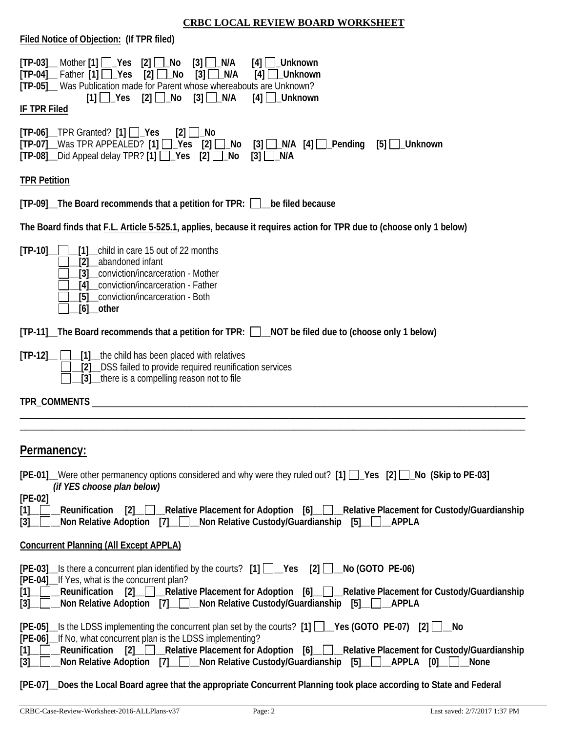| Filed Notice of Objection: (If TPR filed)                                                                                                                                                                                                                                                                                                                                                                                                                                                                                                                                                                                                  |
|--------------------------------------------------------------------------------------------------------------------------------------------------------------------------------------------------------------------------------------------------------------------------------------------------------------------------------------------------------------------------------------------------------------------------------------------------------------------------------------------------------------------------------------------------------------------------------------------------------------------------------------------|
| $[TP-03]$ Mother $[1]$ $\Box$ Yes $[2]$ $\Box$ No<br>$[3]$ $\Box$ N/A<br>$[4]$ $\Box$ _Unknown<br>$[TP-04]$ Father $[1]$ $\Box$ Yes<br>$[2]$ $\Box$ No<br>$[3]$ $\Box$ N/A<br>[4]<br>Unknown<br>[TP-05]_ Was Publication made for Parent whose whereabouts are Unknown?<br>$[3]$ $\Box$ N/A<br>$[1]$ $\Box$ Yes<br>[2] $□$ _No<br>$[4]$ __Unknown<br><b>IF TPR Filed</b>                                                                                                                                                                                                                                                                   |
| $[TP-06]$ TPR Granted? $[1]$ $\Box$ Yes<br>$[2]$ $\Box$ No<br>$[TP-07]$ Was TPR APPEALED? [1] $\Box$ Yes [2] $\Box$ No [3] $\Box$ N/A [4] $\Box$ Pending<br>[5] ∐_Unknown<br>$[TP-08]$ Did Appeal delay TPR? [1] $\Box$ Yes [2] $\Box$ No<br>$[3]$ $\Box$ N/A                                                                                                                                                                                                                                                                                                                                                                              |
| <b>TPR Petition</b>                                                                                                                                                                                                                                                                                                                                                                                                                                                                                                                                                                                                                        |
| [TP-09] The Board recommends that a petition for TPR: Dube filed because                                                                                                                                                                                                                                                                                                                                                                                                                                                                                                                                                                   |
| The Board finds that F.L. Article 5-525.1, applies, because it requires action for TPR due to (choose only 1 below)                                                                                                                                                                                                                                                                                                                                                                                                                                                                                                                        |
| $[TP-10]$<br>[1] child in care 15 out of 22 months<br>abandoned infant<br>[2]<br>conviction/incarceration - Mother<br>[3]<br>conviction/incarceration - Father<br>[5] __ conviction/incarceration - Both<br>$[6]$ other                                                                                                                                                                                                                                                                                                                                                                                                                    |
| [TP-11]_The Board recommends that a petition for TPR: □_NOT be filed due to (choose only 1 below)                                                                                                                                                                                                                                                                                                                                                                                                                                                                                                                                          |
| [1] the child has been placed with relatives<br>$[TP-12]$<br>[2] DSS failed to provide required reunification services<br>[3] there is a compelling reason not to file                                                                                                                                                                                                                                                                                                                                                                                                                                                                     |
| TPR_COMMENTS                                                                                                                                                                                                                                                                                                                                                                                                                                                                                                                                                                                                                               |
|                                                                                                                                                                                                                                                                                                                                                                                                                                                                                                                                                                                                                                            |
| Permanency:                                                                                                                                                                                                                                                                                                                                                                                                                                                                                                                                                                                                                                |
| [PE-01] Were other permanency options considered and why were they ruled out? [1] Ps [2] No (Skip to PE-03]<br>(if YES choose plan below)                                                                                                                                                                                                                                                                                                                                                                                                                                                                                                  |
| $[PE-02]$<br>[2] Relative Placement for Adoption [6] Relative Placement for Custody/Guardianship<br>Reunification<br>[1]<br>Non Relative Adoption [7] Non Relative Custody/Guardianship [5] APPLA<br>$[3]$                                                                                                                                                                                                                                                                                                                                                                                                                                 |
| <b>Concurrent Planning (All Except APPLA)</b>                                                                                                                                                                                                                                                                                                                                                                                                                                                                                                                                                                                              |
| $[PE-03]$ Is there a concurrent plan identified by the courts? $[1]$ $\Box$ Yes $[2]$ $\Box$ No (GOTO PE-06)<br>[PE-04]_If Yes, what is the concurrent plan?<br>[2] Relative Placement for Adoption [6]<br>Reunification<br>Relative Placement for Custody/Guardianship<br>[1]<br>Non Relative Adoption [7] _ Mon Relative Custody/Guardianship<br>[3]                                                                                                                                                                                                                                                                                     |
| $[PE-05]$ Is the LDSS implementing the concurrent plan set by the courts? $[1]$ $\Box$ Yes (GOTO PE-07) $[2]$ $\Box$ No<br>[PE-06]_If No, what concurrent plan is the LDSS implementing?<br>$\boxed{2}$<br>Relative Placement for Adoption [6] Relative Placement for Custody/Guardianship<br>Reunification<br>$[1] % \includegraphics[width=0.9\columnwidth]{figures/fig_10.pdf} \caption{The figure shows the number of times, and the number of times, and the number of times, respectively.} \label{fig:time}$<br>Non Relative Custody/Guardianship<br>Non Relative Adoption $[7]$<br>$[3]$<br>$[5]$ __ $\Box$<br>_APPLA [0]_<br>None |
| Does the Local Board agree that the appropriate Concurrent Planning took place according to State and Federal<br>$[PE-07]$                                                                                                                                                                                                                                                                                                                                                                                                                                                                                                                 |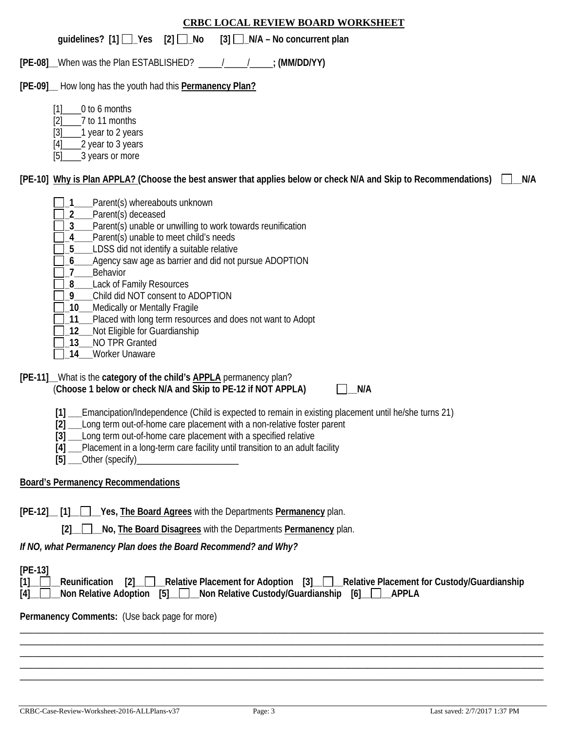### guidelines? [1]  $\Box$  Yes [2]  $\Box$  No [3]  $\Box$  N/A – No concurrent plan

**[PE-08]\_\_**When was the Plan ESTABLISHED? \_\_\_\_\_/\_\_\_\_\_/\_\_\_\_\_**; (MM/DD/YY)** 

#### **[PE-09]\_\_** How long has the youth had this **Permanency Plan?**

- [1]\_\_\_\_0 to 6 months
- [2]\_\_\_\_7 to 11 months
- [3] 1 year to 2 years
- $[4]$  2 year to 3 years
- [5]\_\_\_\_3 years or more

### **[PE-10] Why is Plan APPLA? (Choose the best answer that applies below or check N/A and Skip to Recommendations) \_\_N/A**

- **\_1\_\_\_\_**Parent(s) whereabouts unknown
- **\_2\_\_\_\_**Parent(s) deceased
- **\_3\_\_\_\_**Parent(s) unable or unwilling to work towards reunification
- **\_4\_\_\_\_**Parent(s) unable to meet child's needs
- **\_5\_\_\_\_**LDSS did not identify a suitable relative
- **\_6\_\_\_\_**Agency saw age as barrier and did not pursue ADOPTION
- **\_7\_\_\_\_**Behavior
- **\_8\_\_\_\_**Lack of Family Resources
- **\_9\_\_\_\_**Child did NOT consent to ADOPTION
- **\_10\_\_\_**Medically or Mentally Fragile
- **\_11\_\_\_**Placed with long term resources and does not want to Adopt
- **\_12\_\_\_**Not Eligible for Guardianship
- **\_13\_\_\_**NO TPR Granted
- **\_14\_\_\_**Worker Unaware

### **[PE-11]\_\_**What is the **category of the child's APPLA** permanency plan? (**Choose 1 below or check N/A and Skip to PE-12 if NOT APPLA) \_\_N/A**



**[1] \_\_\_**Emancipation/Independence (Child is expected to remain in existing placement until he/she turns 21)

- **[2] \_\_\_**Long term out-of-home care placement with a non-relative foster parent
- **[3] \_\_\_**Long term out-of-home care placement with a specified relative
- **[4] \_\_\_**Placement in a long-term care facility until transition to an adult facility
- **[5]** Other (specify)

### **Board's Permanency Recommendations**

**[PE-12]\_\_ [1]\_\_ \_\_Yes, The Board Agrees** with the Departments **Permanency** plan.

 **[2]\_\_ \_\_No, The Board Disagrees** with the Departments **Permanency** plan.

*If NO, what Permanency Plan does the Board Recommend? and Why?*

#### **[PE-13]**

|  |  |                                                                                               |  | [1] Reunification [2] Relative Placement for Adoption [3] Relative Placement for Custody/Guardianship |
|--|--|-----------------------------------------------------------------------------------------------|--|-------------------------------------------------------------------------------------------------------|
|  |  | [4] Non Relative Adoption [5] Non Relative Custody/Guardianship [6] Non Relative Adoption [6] |  |                                                                                                       |

\_\_\_\_\_\_\_\_\_\_\_\_\_\_\_\_\_\_\_\_\_\_\_\_\_\_\_\_\_\_\_\_\_\_\_\_\_\_\_\_\_\_\_\_\_\_\_\_\_\_\_\_\_\_\_\_\_\_\_\_\_\_\_\_\_\_\_\_\_\_\_\_\_\_\_\_\_\_\_\_\_\_\_\_\_\_\_\_\_\_\_\_\_\_\_\_\_\_\_\_\_\_\_\_\_\_\_\_\_\_\_\_\_ \_\_\_\_\_\_\_\_\_\_\_\_\_\_\_\_\_\_\_\_\_\_\_\_\_\_\_\_\_\_\_\_\_\_\_\_\_\_\_\_\_\_\_\_\_\_\_\_\_\_\_\_\_\_\_\_\_\_\_\_\_\_\_\_\_\_\_\_\_\_\_\_\_\_\_\_\_\_\_\_\_\_\_\_\_\_\_\_\_\_\_\_\_\_\_\_\_\_\_\_\_\_\_\_\_\_\_\_\_\_\_\_\_ \_\_\_\_\_\_\_\_\_\_\_\_\_\_\_\_\_\_\_\_\_\_\_\_\_\_\_\_\_\_\_\_\_\_\_\_\_\_\_\_\_\_\_\_\_\_\_\_\_\_\_\_\_\_\_\_\_\_\_\_\_\_\_\_\_\_\_\_\_\_\_\_\_\_\_\_\_\_\_\_\_\_\_\_\_\_\_\_\_\_\_\_\_\_\_\_\_\_\_\_\_\_\_\_\_\_\_\_\_\_\_\_\_ \_\_\_\_\_\_\_\_\_\_\_\_\_\_\_\_\_\_\_\_\_\_\_\_\_\_\_\_\_\_\_\_\_\_\_\_\_\_\_\_\_\_\_\_\_\_\_\_\_\_\_\_\_\_\_\_\_\_\_\_\_\_\_\_\_\_\_\_\_\_\_\_\_\_\_\_\_\_\_\_\_\_\_\_\_\_\_\_\_\_\_\_\_\_\_\_\_\_\_\_\_\_\_\_\_\_\_\_\_\_\_\_\_ \_\_\_\_\_\_\_\_\_\_\_\_\_\_\_\_\_\_\_\_\_\_\_\_\_\_\_\_\_\_\_\_\_\_\_\_\_\_\_\_\_\_\_\_\_\_\_\_\_\_\_\_\_\_\_\_\_\_\_\_\_\_\_\_\_\_\_\_\_\_\_\_\_\_\_\_\_\_\_\_\_\_\_\_\_\_\_\_\_\_\_\_\_\_\_\_\_\_\_\_\_\_\_\_\_\_\_\_\_\_\_\_\_

**Permanency Comments:** (Use back page for more)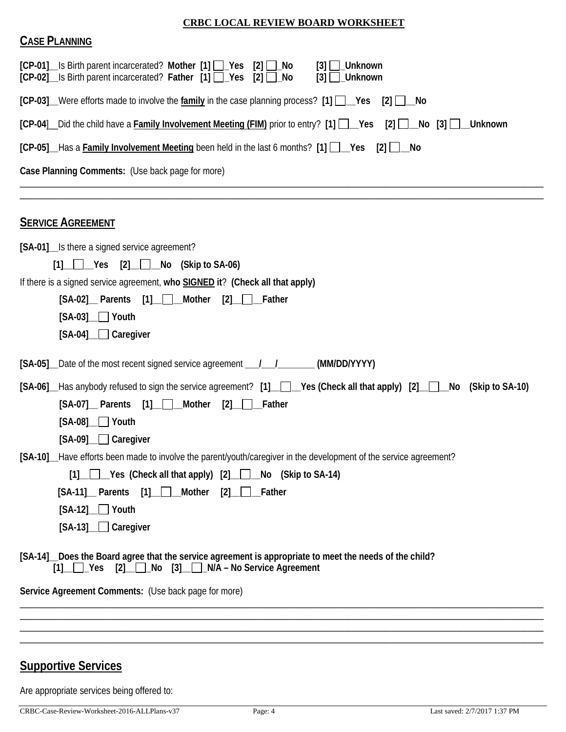| <b>CASE PLANNING</b>                                                                                                                                                                                                                                                              |
|-----------------------------------------------------------------------------------------------------------------------------------------------------------------------------------------------------------------------------------------------------------------------------------|
| [CP-01] Is Birth parent incarcerated? Mother [1] Pes [2] ho<br>$[3]$ $\Box$ Unknown<br>[CP-02] Is Birth parent incarcerated? Father [1] P Yes<br>$[2]$ $\Box$<br>No<br>$\lceil 3 \rceil$<br>Unknown                                                                               |
| $[CP-03]$ Were efforts made to involve the family in the case planning process? [1] $\Box$ Yes<br>$[2]$ $\Box$ No                                                                                                                                                                 |
| [CP-04] _ Did the child have a Family Involvement Meeting (FIM) prior to entry? [1] ___Yes<br>$[2]$ $\Box$ No $[3]$ $\Box$<br><b>Unknown</b>                                                                                                                                      |
| [CP-05] Has a Family Involvement Meeting been held in the last 6 months? [1] Wes<br>$[2]$ $\Box$ No                                                                                                                                                                               |
| Case Planning Comments: (Use back page for more)                                                                                                                                                                                                                                  |
| <b>SERVICE AGREEMENT</b>                                                                                                                                                                                                                                                          |
| [SA-01] Is there a signed service agreement?<br>$[1]$ $\Box$ Yes $[2]$ $\Box$ No (Skip to SA-06)                                                                                                                                                                                  |
| If there is a signed service agreement, who SIGNED it? (Check all that apply)<br>[2]<br>[SA-02] Parents [1] Mother<br>Father<br>$[SA-03]$ $\Box$ Youth<br>[SA-04] Caregiver                                                                                                       |
| [SA-05] Date of the most recent signed service agreement ______________________(MM/DD/YYYY)                                                                                                                                                                                       |
| [SA-06] Has anybody refused to sign the service agreement? [1] Ves (Check all that apply) [2] No (Skip to SA-10)<br>[SA-07] Parents [1] Mother<br>$[2]$ Father<br>$[SA-08]$ $\Box$ Youth<br>[SA-09] Caregiver                                                                     |
| [SA-10] Have efforts been made to involve the parent/youth/caregiver in the development of the service agreement?<br>◯◯ Yes (Check all that apply) [2] ◯ No (Skip to SA-14)<br>[1]<br>[SA-11] Parents [1] Mother<br>$[2]$ $\Box$ Father<br>$[SA-12]$ Youth<br>$[SA-13]$ Caregiver |
| [SA-14] Does the Board agree that the service agreement is appropriate to meet the needs of the child?<br>$[1]$ $\Box$ Yes $[2]$ $\Box$ No $[3]$ $\Box$ N/A – No Service Agreement                                                                                                |
| Service Agreement Comments: (Use back page for more)                                                                                                                                                                                                                              |
|                                                                                                                                                                                                                                                                                   |
|                                                                                                                                                                                                                                                                                   |
|                                                                                                                                                                                                                                                                                   |

# **Supportive Services**

Are appropriate services being offered to: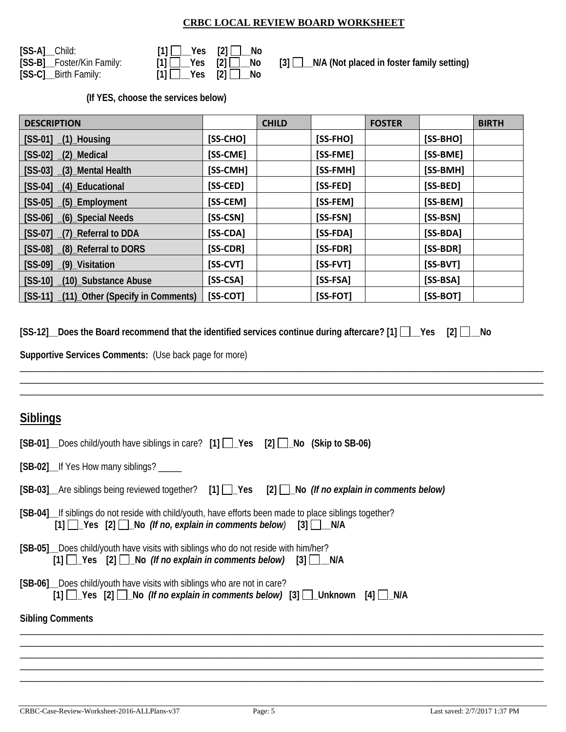| [SS-A]_Child:             | $[1]$ $\Box$ Yes $[2]$ $\Box$ No                                                                         |  |
|---------------------------|----------------------------------------------------------------------------------------------------------|--|
| [SS-B]_Foster/Kin Family: | $[1]$ $\begin{array}{ c c c c c } \hline \end{array}$ $\begin{array}{ c c c c c } \hline \end{array}$ No |  |
| [SS-C]__Birth Family:     | $[1]$ $Yes$ $[2]$ $No$                                                                                   |  |

| $[1]$ $\begin{array}{ c c c c c } \hline \end{array}$ ${\bf Yes}$ $[2]$ $\begin{array}{ c c c c c } \hline \end{array}$ No |                                                                                         |
|----------------------------------------------------------------------------------------------------------------------------|-----------------------------------------------------------------------------------------|
|                                                                                                                            | $[1]$ $\Box$ Yes $[2]$ $\Box$ No $[3]$ $\Box$ N/A (Not placed in foster family setting) |
| $[1]$ $\Box$ Yes $[2]$ $\Box$ No                                                                                           |                                                                                         |

**(If YES, choose the services below)** 

| <b>DESCRIPTION</b>                       |            | <b>CHILD</b> |            | <b>FOSTER</b> |            | <b>BIRTH</b> |
|------------------------------------------|------------|--------------|------------|---------------|------------|--------------|
| $[SS-01]$ $(1)$ Housing                  | $[SS-CHO]$ |              | [SS-FHO]   |               | $[SS-BHO]$ |              |
| $[SS-02]$ $(2)$ Medical                  | [SS-CME]   |              | [SS-FME]   |               | [SS-BME]   |              |
| [SS-03] (3) Mental Health                | [SS-CMH]   |              | [SS-FMH]   |               | [SS-BMH]   |              |
| [SS-04] (4) Educational                  | [SS-CED]   |              | [SS-FED]   |               | [SS-BED]   |              |
| $[SS-05]$ $(5)$ Employment               | [SS-CEM]   |              | [SS-FEM]   |               | [SS-BEM]   |              |
| [SS-06] (6) Special Needs                | [SS-CSN]   |              | [SS-FSN]   |               | [SS-BSN]   |              |
| [SS-07] _(7)_Referral to DDA             | $[SS-CDA]$ |              | [SS-FDA]   |               | $[SS-BDA]$ |              |
| [SS-08] _(8)_Referral to DORS            | [SS-CDR]   |              | [SS-FDR]   |               | [SS-BDR]   |              |
| $[SS-09]$ $(9)$ Visitation               | $[SS-CVT]$ |              | $[SS-FVT]$ |               | [SS-BVT]   |              |
| [SS-10] (10)_Substance Abuse             | $[SS-CSA]$ |              | $[SS-FSA]$ |               | $[SS-BSA]$ |              |
| [SS-11] (11) Other (Specify in Comments) | $[SS-COT]$ |              | [SS-FOT]   |               | $[SS-BOT]$ |              |

**[SS-12]\_\_Does the Board recommend that the identified services continue during aftercare? [1] \_\_Yes [2] \_\_No** 

\_\_\_\_\_\_\_\_\_\_\_\_\_\_\_\_\_\_\_\_\_\_\_\_\_\_\_\_\_\_\_\_\_\_\_\_\_\_\_\_\_\_\_\_\_\_\_\_\_\_\_\_\_\_\_\_\_\_\_\_\_\_\_\_\_\_\_\_\_\_\_\_\_\_\_\_\_\_\_\_\_\_\_\_\_\_\_\_\_\_\_\_\_\_\_\_\_\_\_\_\_\_\_\_\_\_\_\_\_\_\_\_\_ \_\_\_\_\_\_\_\_\_\_\_\_\_\_\_\_\_\_\_\_\_\_\_\_\_\_\_\_\_\_\_\_\_\_\_\_\_\_\_\_\_\_\_\_\_\_\_\_\_\_\_\_\_\_\_\_\_\_\_\_\_\_\_\_\_\_\_\_\_\_\_\_\_\_\_\_\_\_\_\_\_\_\_\_\_\_\_\_\_\_\_\_\_\_\_\_\_\_\_\_\_\_\_\_\_\_\_\_\_\_\_\_\_ \_\_\_\_\_\_\_\_\_\_\_\_\_\_\_\_\_\_\_\_\_\_\_\_\_\_\_\_\_\_\_\_\_\_\_\_\_\_\_\_\_\_\_\_\_\_\_\_\_\_\_\_\_\_\_\_\_\_\_\_\_\_\_\_\_\_\_\_\_\_\_\_\_\_\_\_\_\_\_\_\_\_\_\_\_\_\_\_\_\_\_\_\_\_\_\_\_\_\_\_\_\_\_\_\_\_\_\_\_\_\_\_\_

**Supportive Services Comments:** (Use back page for more)

### **Siblings**

| $[SB-01]$ Does child/youth have siblings in care? $[1]$ $\rightarrow$ Yes $[2]$ $\rightarrow$ No (Skip to SB-06)                                                                                        |
|---------------------------------------------------------------------------------------------------------------------------------------------------------------------------------------------------------|
| [SB-02] If Yes How many siblings?                                                                                                                                                                       |
| $[SB-03]$ Are siblings being reviewed together? [1] $\Box$ Yes [2] $\Box$ No (If no explain in comments below)                                                                                          |
| [SB-04] If siblings do not reside with child/youth, have efforts been made to place siblings together?<br>$[1]$ $\sqrt{es}$ $[2]$ $\sqrt{S}$ No (If no, explain in comments below) $[3]$ $\sqrt{S}$ N/A |
| [SB-05] Does child/youth have visits with siblings who do not reside with him/her?<br>[1] Yes [2] No (If no explain in comments below) [3] N/A                                                          |
| [SB-06] Does child/youth have visits with siblings who are not in care?<br>$[1]$ $\Box$ Yes $[2]$ $\Box$ No (If no explain in comments below) $[3]$ $\Box$ Unknown $[4]$ $\Box$ N/A                     |
| <b>Sibling Comments</b>                                                                                                                                                                                 |
|                                                                                                                                                                                                         |
|                                                                                                                                                                                                         |
|                                                                                                                                                                                                         |

\_\_\_\_\_\_\_\_\_\_\_\_\_\_\_\_\_\_\_\_\_\_\_\_\_\_\_\_\_\_\_\_\_\_\_\_\_\_\_\_\_\_\_\_\_\_\_\_\_\_\_\_\_\_\_\_\_\_\_\_\_\_\_\_\_\_\_\_\_\_\_\_\_\_\_\_\_\_\_\_\_\_\_\_\_\_\_\_\_\_\_\_\_\_\_\_\_\_\_\_\_\_\_\_\_\_\_\_\_\_\_\_\_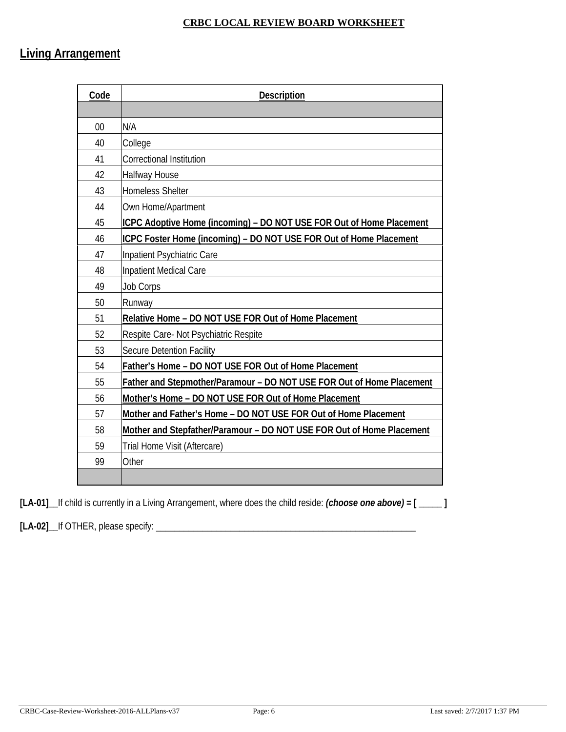# **Living Arrangement**

| Code | <b>Description</b>                                                    |
|------|-----------------------------------------------------------------------|
|      |                                                                       |
| 00   | N/A                                                                   |
| 40   | College                                                               |
| 41   | <b>Correctional Institution</b>                                       |
| 42   | <b>Halfway House</b>                                                  |
| 43   | Homeless Shelter                                                      |
| 44   | Own Home/Apartment                                                    |
| 45   | ICPC Adoptive Home (incoming) – DO NOT USE FOR Out of Home Placement  |
| 46   | ICPC Foster Home (incoming) - DO NOT USE FOR Out of Home Placement    |
| 47   | Inpatient Psychiatric Care                                            |
| 48   | Inpatient Medical Care                                                |
| 49   | <b>Job Corps</b>                                                      |
| 50   | Runway                                                                |
| 51   | Relative Home - DO NOT USE FOR Out of Home Placement                  |
| 52   | Respite Care- Not Psychiatric Respite                                 |
| 53   | <b>Secure Detention Facility</b>                                      |
| 54   | Father's Home - DO NOT USE FOR Out of Home Placement                  |
| 55   | Father and Stepmother/Paramour - DO NOT USE FOR Out of Home Placement |
| 56   | Mother's Home - DO NOT USE FOR Out of Home Placement                  |
| 57   | Mother and Father's Home - DO NOT USE FOR Out of Home Placement       |
| 58   | Mother and Stepfather/Paramour - DO NOT USE FOR Out of Home Placement |
| 59   | Trial Home Visit (Aftercare)                                          |
| 99   | Other                                                                 |
|      |                                                                       |

**[LA-01]\_\_**If child is currently in a Living Arrangement, where does the child reside: *(choose one above)* **= [ \_\_\_\_\_ ]**

**[LA-02]\_\_**If OTHER, please specify: \_\_\_\_\_\_\_\_\_\_\_\_\_\_\_\_\_\_\_\_\_\_\_\_\_\_\_\_\_\_\_\_\_\_\_\_\_\_\_\_\_\_\_\_\_\_\_\_\_\_\_\_\_\_\_\_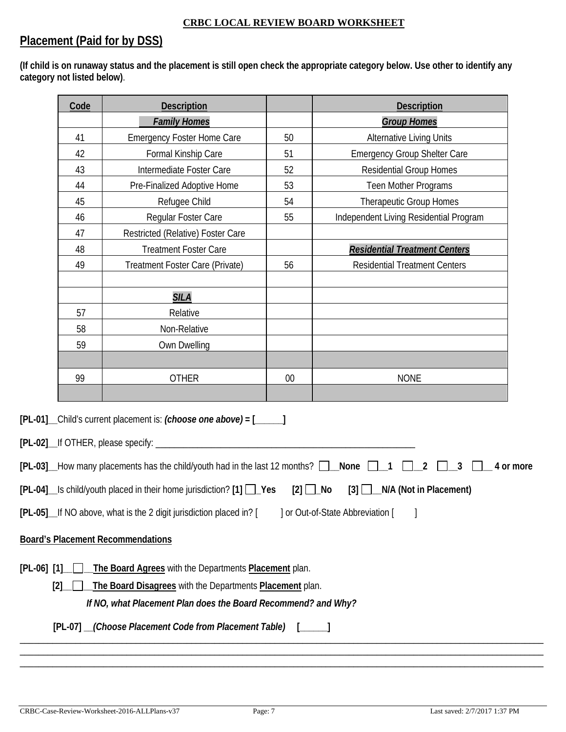### **Placement (Paid for by DSS)**

**(If child is on runaway status and the placement is still open check the appropriate category below. Use other to identify any category not listed below)**.

| 41<br>42      | <b>Family Homes</b>               |                                                                                                                | <b>Group Homes</b>                                                                                                                                                                                                                                                                                                                                                                                                                                                                                               |
|---------------|-----------------------------------|----------------------------------------------------------------------------------------------------------------|------------------------------------------------------------------------------------------------------------------------------------------------------------------------------------------------------------------------------------------------------------------------------------------------------------------------------------------------------------------------------------------------------------------------------------------------------------------------------------------------------------------|
|               |                                   |                                                                                                                |                                                                                                                                                                                                                                                                                                                                                                                                                                                                                                                  |
|               | <b>Emergency Foster Home Care</b> | 50                                                                                                             | <b>Alternative Living Units</b>                                                                                                                                                                                                                                                                                                                                                                                                                                                                                  |
|               | Formal Kinship Care               | 51                                                                                                             | <b>Emergency Group Shelter Care</b>                                                                                                                                                                                                                                                                                                                                                                                                                                                                              |
| 43            | Intermediate Foster Care          | 52                                                                                                             | <b>Residential Group Homes</b>                                                                                                                                                                                                                                                                                                                                                                                                                                                                                   |
| 44            | Pre-Finalized Adoptive Home       | 53                                                                                                             | Teen Mother Programs                                                                                                                                                                                                                                                                                                                                                                                                                                                                                             |
| 45            | Refugee Child                     | 54                                                                                                             | <b>Therapeutic Group Homes</b>                                                                                                                                                                                                                                                                                                                                                                                                                                                                                   |
| 46            | Regular Foster Care               | 55                                                                                                             | Independent Living Residential Program                                                                                                                                                                                                                                                                                                                                                                                                                                                                           |
| 47            | Restricted (Relative) Foster Care |                                                                                                                |                                                                                                                                                                                                                                                                                                                                                                                                                                                                                                                  |
| 48            | <b>Treatment Foster Care</b>      |                                                                                                                | <b>Residential Treatment Centers</b>                                                                                                                                                                                                                                                                                                                                                                                                                                                                             |
| 49            | Treatment Foster Care (Private)   | 56                                                                                                             | <b>Residential Treatment Centers</b>                                                                                                                                                                                                                                                                                                                                                                                                                                                                             |
|               |                                   |                                                                                                                |                                                                                                                                                                                                                                                                                                                                                                                                                                                                                                                  |
|               | <b>SILA</b>                       |                                                                                                                |                                                                                                                                                                                                                                                                                                                                                                                                                                                                                                                  |
| 57            | Relative                          |                                                                                                                |                                                                                                                                                                                                                                                                                                                                                                                                                                                                                                                  |
| 58            | Non-Relative                      |                                                                                                                |                                                                                                                                                                                                                                                                                                                                                                                                                                                                                                                  |
| 59            | Own Dwelling                      |                                                                                                                |                                                                                                                                                                                                                                                                                                                                                                                                                                                                                                                  |
|               |                                   |                                                                                                                |                                                                                                                                                                                                                                                                                                                                                                                                                                                                                                                  |
| 99            | <b>OTHER</b>                      | $00\,$                                                                                                         | <b>NONE</b>                                                                                                                                                                                                                                                                                                                                                                                                                                                                                                      |
|               |                                   |                                                                                                                |                                                                                                                                                                                                                                                                                                                                                                                                                                                                                                                  |
|               |                                   |                                                                                                                |                                                                                                                                                                                                                                                                                                                                                                                                                                                                                                                  |
|               |                                   |                                                                                                                |                                                                                                                                                                                                                                                                                                                                                                                                                                                                                                                  |
|               |                                   |                                                                                                                |                                                                                                                                                                                                                                                                                                                                                                                                                                                                                                                  |
|               |                                   |                                                                                                                | 2<br>$\overline{\mathbf{3}}$<br>4 or more                                                                                                                                                                                                                                                                                                                                                                                                                                                                        |
|               |                                   |                                                                                                                |                                                                                                                                                                                                                                                                                                                                                                                                                                                                                                                  |
|               |                                   |                                                                                                                | $\lceil 3 \rceil$<br>N/A (Not in Placement)                                                                                                                                                                                                                                                                                                                                                                                                                                                                      |
|               |                                   |                                                                                                                | ] or Out-of-State Abbreviation [                                                                                                                                                                                                                                                                                                                                                                                                                                                                                 |
|               |                                   |                                                                                                                |                                                                                                                                                                                                                                                                                                                                                                                                                                                                                                                  |
|               |                                   |                                                                                                                |                                                                                                                                                                                                                                                                                                                                                                                                                                                                                                                  |
|               |                                   |                                                                                                                |                                                                                                                                                                                                                                                                                                                                                                                                                                                                                                                  |
|               |                                   |                                                                                                                |                                                                                                                                                                                                                                                                                                                                                                                                                                                                                                                  |
| [2]           |                                   |                                                                                                                |                                                                                                                                                                                                                                                                                                                                                                                                                                                                                                                  |
|               |                                   |                                                                                                                |                                                                                                                                                                                                                                                                                                                                                                                                                                                                                                                  |
|               |                                   |                                                                                                                |                                                                                                                                                                                                                                                                                                                                                                                                                                                                                                                  |
|               |                                   |                                                                                                                |                                                                                                                                                                                                                                                                                                                                                                                                                                                                                                                  |
| $[PL-06]$ [1] |                                   | [PL-05]_If NO above, what is the 2 digit jurisdiction placed in? [<br><b>Board's Placement Recommendations</b> | [PL-01] _Child's current placement is: (choose one above) = [_____]<br>[PL-03] How many placements has the child/youth had in the last 12 months? $\Box$ None $\Box$ 1<br>[PL-04]_Is child/youth placed in their home jurisdiction? [1] □_Yes<br>$[2]$ $\Box$ No<br>The Board Agrees with the Departments Placement plan.<br>The Board Disagrees with the Departments Placement plan.<br>If NO, what Placement Plan does the Board Recommend? and Why?<br>[PL-07] __(Choose Placement Code from Placement Table) |

\_\_\_\_\_\_\_\_\_\_\_\_\_\_\_\_\_\_\_\_\_\_\_\_\_\_\_\_\_\_\_\_\_\_\_\_\_\_\_\_\_\_\_\_\_\_\_\_\_\_\_\_\_\_\_\_\_\_\_\_\_\_\_\_\_\_\_\_\_\_\_\_\_\_\_\_\_\_\_\_\_\_\_\_\_\_\_\_\_\_\_\_\_\_\_\_\_\_\_\_\_\_\_\_\_\_\_\_\_\_\_\_\_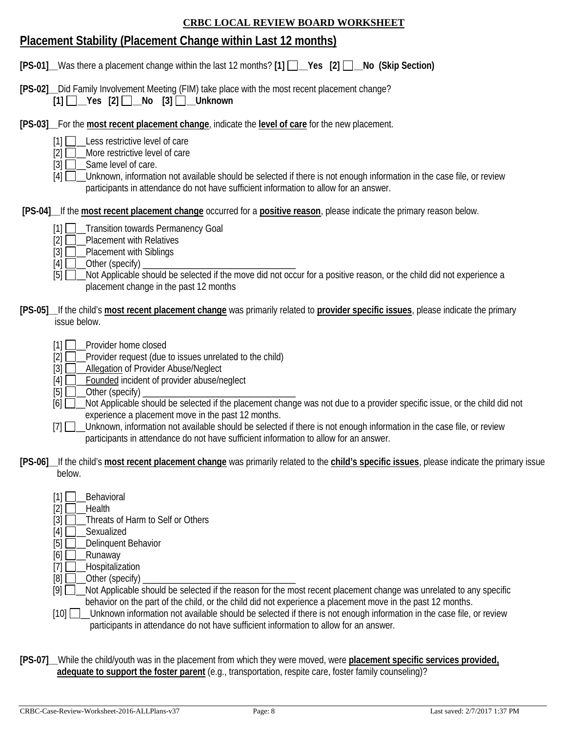# **Placement Stability (Placement Change within Last 12 months)**

|  | [PS-01] Was there a placement change within the last 12 months? [1] $\Box$ Yes [2] $\Box$ No (Skip Section) |  |  |  |
|--|-------------------------------------------------------------------------------------------------------------|--|--|--|
|--|-------------------------------------------------------------------------------------------------------------|--|--|--|

**[PS-02]\_\_**Did Family Involvement Meeting (FIM) take place with the most recent placement change?  $[1]$  Yes  $[2]$  No  $[3]$  Unknown

**[PS-03]\_\_**For the **most recent placement change**, indicate the **level of care** for the new placement.

- [1] Less restrictive level of care
- $[2]$   $\Box$  More restrictive level of care
- $[3]$   $\Box$  Same level of care.

[4]  $\Box$  Unknown, information not available should be selected if there is not enough information in the case file, or review participants in attendance do not have sufficient information to allow for an answer.

**[PS-04]\_\_**If the **most recent placement change** occurred for a **positive reason**, please indicate the primary reason below.

- [1] **T**\_\_Transition towards Permanency Goal
- $[2]$   $\Box$  Placement with Relatives
- $[3]$  Placement with Siblings
- $[4]$   $\Box$  Other (specify)

- **[PS-05]\_\_**If the child's **most recent placement change** was primarily related to **provider specific issues**, please indicate the primary issue below.
	- [1] **D** Provider home closed<br>[2] **D** Provider request (due
	- Provider request (due to issues unrelated to the child)
	- [3] **\_\_\_\_**Allegation of Provider Abuse/Neglect
	- [4] **D** Founded incident of provider abuse/neglect
	- [5] \_\_Other (specify) \_\_\_\_\_\_\_\_\_\_\_\_\_\_\_\_\_\_\_\_\_\_\_\_\_\_\_\_\_\_\_\_\_
	- $[6]$  Not Applicable should be selected if the placement change was not due to a provider specific issue, or the child did not experience a placement move in the past 12 months.
	- [7]  $\Box$  Unknown, information not available should be selected if there is not enough information in the case file, or review participants in attendance do not have sufficient information to allow for an answer.
- **[PS-06]\_\_**If the child's **most recent placement change** was primarily related to the **child's specific issues**, please indicate the primary issue below.
	- $[1]$  Behavioral
	- $[2]$   $\Box$  Health
	- [3]  $\Box$  Threats of Harm to Self or Others
	- $[4]$   $\Box$  Sexualized
	- $[5]$  Delinquent Behavior
	- $[6]$  Runaway
	- [7] **\_\_\_\_Hospitalization**
	- $[8]$   $\Box$  Other (specify)
	- $[9]$   $\Box$  Not Applicable should be selected if the reason for the most recent placement change was unrelated to any specific behavior on the part of the child, or the child did not experience a placement move in the past 12 months.
	- [10] \_\_\_Unknown information not available should be selected if there is not enough information in the case file, or review participants in attendance do not have sufficient information to allow for an answer.
- **[PS-07]\_\_**While the child/youth was in the placement from which they were moved, were **placement specific services provided, adequate to support the foster parent** (e.g., transportation, respite care, foster family counseling)?

 $[5]$  Not Applicable should be selected if the move did not occur for a positive reason, or the child did not experience a placement change in the past 12 months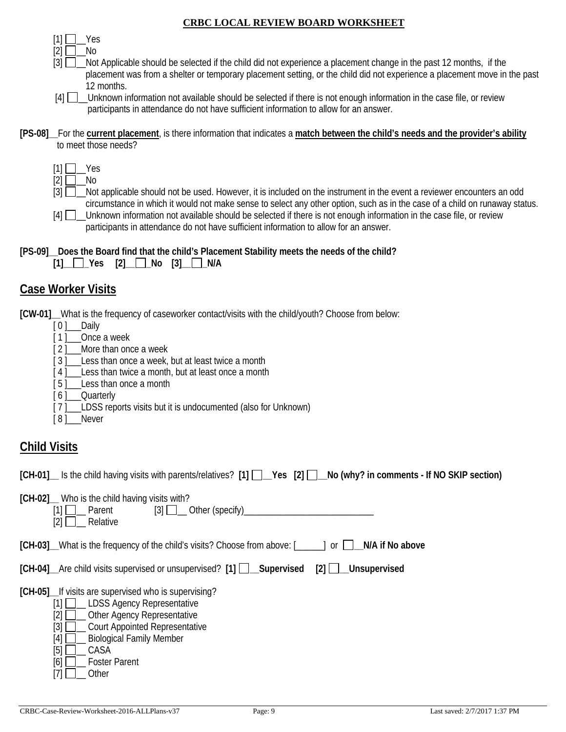$[1]$  | Yes  $[2]$  No

- [3]  $\Box$  Not Applicable should be selected if the child did not experience a placement change in the past 12 months, if the placement was from a shelter or temporary placement setting, or the child did not experience a placement move in the past 12 months.
- [4] Unknown information not available should be selected if there is not enough information in the case file, or review participants in attendance do not have sufficient information to allow for an answer.

- $[1] \square$  Yes
- $[2]$   $\Box$  No
- [3] Not applicable should not be used. However, it is included on the instrument in the event a reviewer encounters an odd circumstance in which it would not make sense to select any other option, such as in the case of a child on runaway status.
- [4]  $\Box$  Unknown information not available should be selected if there is not enough information in the case file, or review participants in attendance do not have sufficient information to allow for an answer.

| [PS-09] Does the Board find that the child's Placement Stability meets the needs of the child? |  |
|------------------------------------------------------------------------------------------------|--|
|------------------------------------------------------------------------------------------------|--|

| $[1]$ $\Box$ Yes $[2]$ $\Box$ No $[3]$ $\Box$ N/A |  |
|---------------------------------------------------|--|
|---------------------------------------------------|--|

### **Case Worker Visits**

**[CW-01]\_\_**What is the frequency of caseworker contact/visits with the child/youth? Choose from below:

- [ 0 ]\_\_\_\_Daily
- [1] \_\_\_Once a week
- [ 2 ] More than once a week
- [3] Less than once a week, but at least twice a month
- [4] Less than twice a month, but at least once a month
- [5] Less than once a month
- [ 6 ]\_\_\_Quarterly
- [7] LDSS reports visits but it is undocumented (also for Unknown)
- [8] Never

# **Child Visits**

**[CH-01]\_\_** Is the child having visits with parents/relatives? **[1] \_\_Yes [2] \_\_No (why? in comments - If NO SKIP section)**

**[CH-02]\_\_** Who is the child having visits with?

| __Other (specify)_<br>$\lceil 3 \rceil$ $\Box$<br>Parent<br>Relative<br>[2]                                                                                                                                                                                                       |  |
|-----------------------------------------------------------------------------------------------------------------------------------------------------------------------------------------------------------------------------------------------------------------------------------|--|
| [CH-03] What is the frequency of the child's visits? Choose from above: [<br>N/A if No above<br>0r                                                                                                                                                                                |  |
| [CH-04] Are child visits supervised or unsupervised? [1] [Let Cupervised<br>$\lceil 2 \rceil$ $\lceil$<br>Unsupervised                                                                                                                                                            |  |
| [CH-05]_If visits are supervised who is supervising?<br>_LDSS Agency Representative<br>[2]<br>Other Agency Representative<br>[3]<br><b>Court Appointed Representative</b><br><b>Biological Family Member</b><br>[4]<br>[5]<br>CASA<br>[6]<br><b>Foster Parent</b><br>[7]<br>Other |  |

CRBC-Case-Review-Worksheet-2016-ALLPlans-v37 Page: 9 Last saved: 2/7/2017 1:37 PM

**<sup>[</sup>PS-08]\_\_**For the **current placement**, is there information that indicates a **match between the child's needs and the provider's ability** to meet those needs?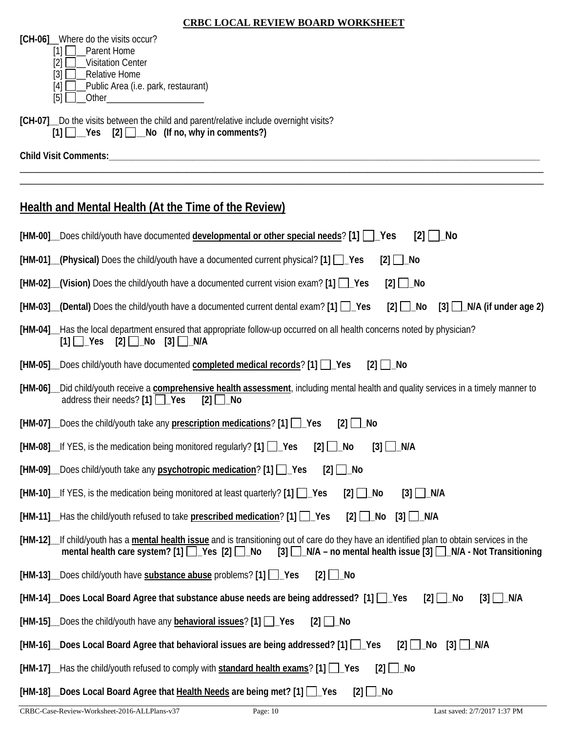**[CH-06]**\_\_Where do the visits occur?

- [1] **□**\_Parent Home
- $[2]$   $\Box$  Visitation Center  $\overline{[3]}\square$  Relative Home
- 
- [4] **D**\_Public Area (i.e. park, restaurant) [5] \_\_Other\_\_\_\_\_\_\_\_\_\_\_\_\_\_\_\_\_\_\_\_\_
- 

**[CH-07]\_\_**Do the visits between the child and parent/relative include overnight visits?  $\overline{[1]}$   $\overline{]}$   $\overline{]}$   $\overline{]}$   $\overline{]}$   $\overline{]}$   $\overline{]}$   $\overline{]}$   $\overline{]}$   $\overline{]}$   $\overline{]}$   $\overline{]}$   $\overline{]}$   $\overline{]}$   $\overline{]}$   $\overline{]}$   $\overline{]}$   $\overline{]}$   $\overline{]}$   $\overline{]}$   $\overline{]}$   $\overline{]}$   $\overline{]}$   $\overline{]}$   $\overline{]}$   $\overline{]}$   $\overline{]}$   $\over$ 

**Child Visit Comments:\_\_\_\_\_\_\_\_\_\_\_\_\_\_\_\_\_\_\_\_\_\_\_\_\_\_\_\_\_\_\_\_\_\_\_\_\_\_\_\_\_\_\_\_\_\_\_\_\_\_\_\_\_\_\_\_\_\_\_\_\_\_\_\_\_\_\_\_\_\_\_\_\_\_\_\_\_\_\_\_\_\_\_\_\_\_\_\_\_\_\_\_\_**

## **Health and Mental Health (At the Time of the Review)**

| [HM-00] Does child/youth have documented developmental or other special needs? [1]   LYes<br>_No<br>$\lceil 2 \rceil$                                                                                                                                                      |
|----------------------------------------------------------------------------------------------------------------------------------------------------------------------------------------------------------------------------------------------------------------------------|
| [HM-01] (Physical) Does the child/youth have a documented current physical? [1] [ Yes<br>$[2]$ $\Box$ No                                                                                                                                                                   |
| $[HM-02]$ (Vision) Does the child/youth have a documented current vision exam? $[1]$ $\Box$ Yes<br>$[2]$ $\Box$ No                                                                                                                                                         |
| $[HM-03]$ (Dental) Does the child/youth have a documented current dental exam? $[1]$<br>$[2]$ $\Box$ No<br>$[3]$ $\Box$ N/A (if under age 2)                                                                                                                               |
| [HM-04]__Has the local department ensured that appropriate follow-up occurred on all health concerns noted by physician?<br>$[2]$ $\Box$ No<br>$[1]$ $\Box$ Yes<br>$[3]$ $\Box$ N/A                                                                                        |
| [HM-05] Does child/youth have documented completed medical records? [1] LYes<br>Mo<br>$\lceil 2 \rceil$                                                                                                                                                                    |
| Did child/youth receive a <b>comprehensive health assessment</b> , including mental health and quality services in a timely manner to<br>$[HM-06]$<br>address their needs? $[1]$ $\Box$ Yes<br>[2]<br>∣_No                                                                 |
| [HM-07] Does the child/youth take any prescription medications? [1] LYes<br>$[2]$ $\Box$ No                                                                                                                                                                                |
| [HM-08] If YES, is the medication being monitored regularly? [1] Yes<br>$[2]$ $\Box$<br>_No<br>$\Box$ N/A<br>$[3]$                                                                                                                                                         |
| [HM-09] Does child/youth take any <b>psychotropic medication</b> ? [1] Pes<br>□ No<br>[2]                                                                                                                                                                                  |
| $[HM-10]$ If YES, is the medication being monitored at least quarterly? $[1]$ $\Box$ Yes<br>$[2]$ $\Box$ No<br>$[3]$ $\Box$ N/A                                                                                                                                            |
| [HM-11] Has the child/youth refused to take prescribed medication? [1] Pes<br>$[2]$ $\Box$ No<br>$[3]$ $\Box$ N/A                                                                                                                                                          |
| [HM-12]_If child/youth has a mental health issue and is transitioning out of care do they have an identified plan to obtain services in the<br>[3] N/A – no mental health issue [3] N/A - Not Transitioning<br>mental health care system? $[1]$ $\Box$ Yes $[2]$ $\Box$ No |
| [HM-13] Does child/youth have substance abuse problems? [1] Pes<br>$[2]$ $\Box$ No                                                                                                                                                                                         |
| [HM-14] Does Local Board Agree that substance abuse needs are being addressed? [1] [ Pes<br>$\Box$ N/A<br>$\lceil 2 \rceil$ No<br>$\lceil 3 \rceil$                                                                                                                        |
| [HM-15] Does the child/youth have any behavioral issues? [1] [Carl]<br>$[2]$   $\lfloor$ No                                                                                                                                                                                |
| [HM-16] Does Local Board Agree that behavioral issues are being addressed? [1] 1 __ Yes<br>$[2]$ $\Box$ No<br>$[3]$ $\Box$ N/A                                                                                                                                             |
| $[2]$ $\Box$ No<br>[HM-17] Has the child/youth refused to comply with standard health exams? [1] Fas                                                                                                                                                                       |
| [HM-18] Does Local Board Agree that Health Needs are being met? [1] LYes<br>$[2]$ $\Box$ No                                                                                                                                                                                |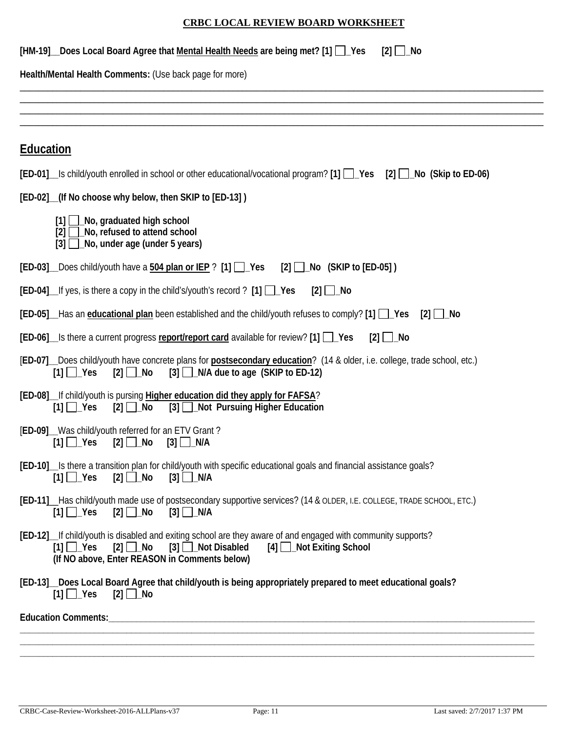| [HM-19] __ Does Local Board Agree that Mental Health Needs are being met? [1] [ ]<br>$[2]$ $\Box$ No                                                                                                                                                                  |
|-----------------------------------------------------------------------------------------------------------------------------------------------------------------------------------------------------------------------------------------------------------------------|
| Health/Mental Health Comments: (Use back page for more)                                                                                                                                                                                                               |
|                                                                                                                                                                                                                                                                       |
|                                                                                                                                                                                                                                                                       |
| <b>Education</b>                                                                                                                                                                                                                                                      |
| $[ED-01]$ is child/youth enrolled in school or other educational/vocational program? [1] $\Box$ Yes [2] $\Box$ No (Skip to ED-06)                                                                                                                                     |
| [ED-02] (If No choose why below, then SKIP to [ED-13])                                                                                                                                                                                                                |
| $[1]$ $\Box$ No, graduated high school<br>[2] No, refused to attend school<br>$[3]$ $\Box$ No, under age (under 5 years)                                                                                                                                              |
| [ED-03] Does child/youth have a 504 plan or IEP ? [1] [ Yes [2] [ No (SKIP to [ED-05])                                                                                                                                                                                |
| $[ED-04]$ If yes, is there a copy in the child's/youth's record ? $[1]$ $\Box$ Yes<br>$[2]$ $\Box$ No                                                                                                                                                                 |
| <b>[ED-05]</b> Has an educational plan been established and the child/youth refuses to comply? [1] $\Box$ Yes                                                                                                                                                         |
| [ED-06] Is there a current progress report/report card available for review? [1] 1 Yes<br>$[2]$ $\Box$ No                                                                                                                                                             |
| [ED-07] Does child/youth have concrete plans for postsecondary education? (14 & older, i.e. college, trade school, etc.)<br>$[3]$ $\Box$ N/A due to age (SKIP to ED-12)<br>$[1]$ $\Box$ Yes<br>$[2]$ $\Box$ No                                                        |
| [ED-08] If child/youth is pursing Higher education did they apply for FAFSA?<br>$[2]$ $\Box$ No<br>[3] Not Pursuing Higher Education<br>$[1]$ $\Box$ Yes                                                                                                              |
| [ED-09]_Was child/youth referred for an ETV Grant?<br>$[1]$ $\Box$ Yes<br>$[2]$ $\Box$ No<br>$[3]$ $\Box$ N/A                                                                                                                                                         |
| [ED-10] Is there a transition plan for child/youth with specific educational goals and financial assistance goals?<br>$[2]$ $\Box$ No<br>$[3]$ $\Box$ N/A<br>$[1]$ $\Box$ Yes                                                                                         |
| [ED-11] _Has child/youth made use of postsecondary supportive services? (14 & OLDER, I.E. COLLEGE, TRADE SCHOOL, ETC.)<br>$[3]$ N/A<br>$[1]$ $\Box$ Yes<br>$[2] \ \blacksquare$ No                                                                                    |
| [ED-12] If child/youth is disabled and exiting school are they aware of and engaged with community supports?<br>$[2] \square$ No<br>$[3]$ $\Box$ Not Disabled<br>$[4]$ $\Box$ Not Exiting School<br>$[1]$ $\Box$ Yes<br>(If NO above, Enter REASON in Comments below) |
| [ED-13] Does Local Board Agree that child/youth is being appropriately prepared to meet educational goals?<br>$[1]$ $\Box$ Yes<br>[2] □_No                                                                                                                            |
|                                                                                                                                                                                                                                                                       |
|                                                                                                                                                                                                                                                                       |

**\_\_\_\_\_\_\_\_\_\_\_\_\_\_\_\_\_\_\_\_\_\_\_\_\_\_\_\_\_\_\_\_\_\_\_\_\_\_\_\_\_\_\_\_\_\_\_\_\_\_\_\_\_\_\_\_\_\_\_\_\_\_\_\_\_\_\_\_\_\_\_\_\_\_\_\_\_\_\_\_\_\_\_\_\_\_\_\_\_\_\_\_\_\_\_\_\_\_\_\_\_\_\_\_\_\_\_\_\_\_\_**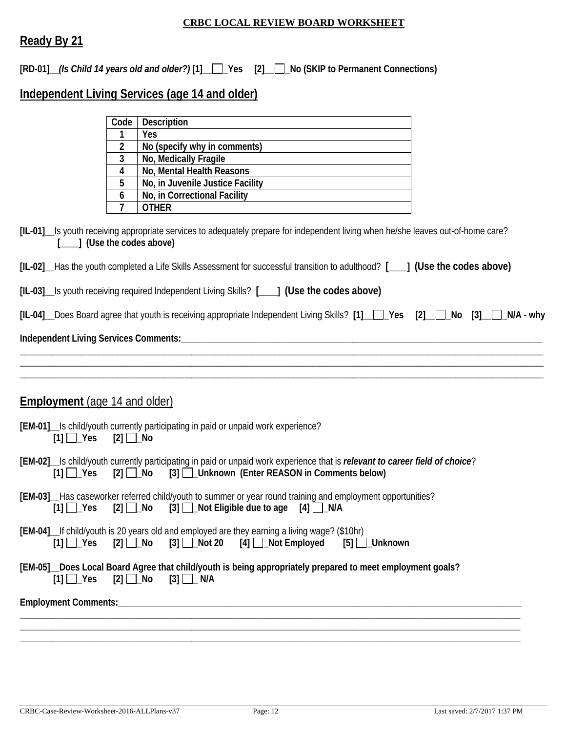### **Ready By 21**

**[RD-01]\_\_***(Is Child 14 years old and older?)* **[1]\_\_ \_Yes [2]\_\_ \_No (SKIP to Permanent Connections)**

# **Independent Living Services (age 14 and older)**

|                                      | Code           | Description                                                                                                                                                                                                                                                      |
|--------------------------------------|----------------|------------------------------------------------------------------------------------------------------------------------------------------------------------------------------------------------------------------------------------------------------------------|
|                                      | 1              | Yes                                                                                                                                                                                                                                                              |
|                                      | $\overline{2}$ | No (specify why in comments)                                                                                                                                                                                                                                     |
|                                      | 3              | No, Medically Fragile                                                                                                                                                                                                                                            |
|                                      | 4              | No, Mental Health Reasons                                                                                                                                                                                                                                        |
|                                      | 5              | No, in Juvenile Justice Facility [2000]                                                                                                                                                                                                                          |
|                                      | 6              | No, in Correctional Facility                                                                                                                                                                                                                                     |
|                                      | $\overline{7}$ | <b>OTHER</b>                                                                                                                                                                                                                                                     |
| [___] (Use the codes above)          |                | [IL-01] Is youth receiving appropriate services to adequately prepare for independent living when he/she leaves out-of-home care?<br>[IL-02] Has the youth completed a Life Skills Assessment for successful transition to adulthood? [11] (Use the codes above) |
|                                      |                | [IL-03] Is youth receiving required Independent Living Skills? [1888] (Use the codes above)                                                                                                                                                                      |
|                                      |                | [IL-04] Does Board agree that youth is receiving appropriate Independent Living Skills? [1] Pes [2] Ne [3] No [3]                                                                                                                                                |
|                                      |                |                                                                                                                                                                                                                                                                  |
|                                      |                |                                                                                                                                                                                                                                                                  |
|                                      |                |                                                                                                                                                                                                                                                                  |
| <b>Employment</b> (age 14 and older) |                |                                                                                                                                                                                                                                                                  |
| $[1]$ $\Box$ Yes                     | $[2]$ No       | [EM-01]__Is child/youth currently participating in paid or unpaid work experience?                                                                                                                                                                               |
| $[1]$ $\Box$ Yes                     |                | [EM-02]__Is child/youth currently participating in paid or unpaid work experience that is relevant to career field of choice?<br>[2] No [3] Unknown (Enter REASON in Comments below)                                                                             |
| $[1] \square$ Yes                    |                | [EM-03]__Has caseworker referred child/youth to summer or year round training and employment opportunities?<br>$[2]$ No [3] $\Box$ Not Eligible due to age [4] $\Box$ N/A                                                                                        |
|                                      |                | [EM-04]_If child/youth is 20 years old and employed are they earning a living wage? (\$10hr)<br>$[1]$ $\bigcap$ Yes $[2]$ $\bigcap$ No $[3]$ $\bigcap$ Not 20 $[4]$ $\bigcap$ Not Employed $[5]$ $\bigcap$ Unknown                                               |
| $[1]$ $\Box$ Yes                     |                | [EM-05]_Does Local Board Agree that child/youth is being appropriately prepared to meet employment goals?<br>$[2]$ No $[3]$ N/A                                                                                                                                  |
|                                      |                |                                                                                                                                                                                                                                                                  |
|                                      |                |                                                                                                                                                                                                                                                                  |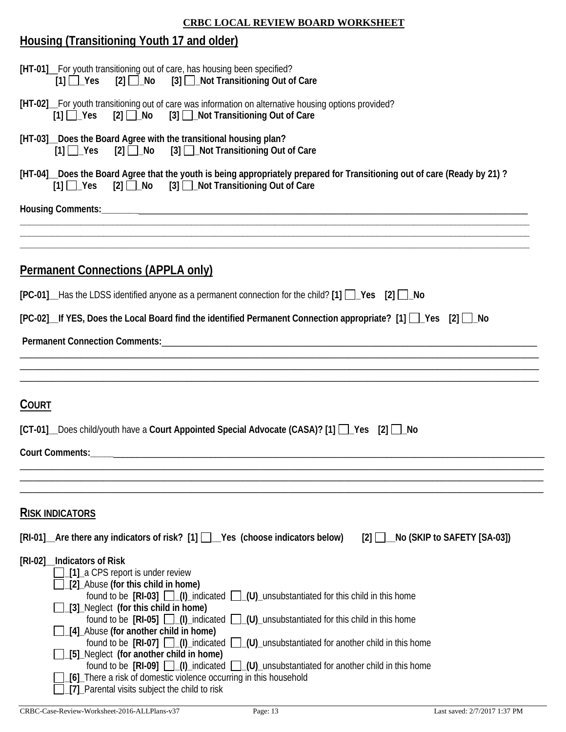# **Housing (Transitioning Youth 17 and older)**

|                                           | [HT-01] For youth transitioning out of care, has housing been specified?<br>[1] Ves [2] No [3] Not Transitioning Out of Care                                                 |
|-------------------------------------------|------------------------------------------------------------------------------------------------------------------------------------------------------------------------------|
| $[1]$ $\Box$ Yes                          | [HT-02] For youth transitioning out of care was information on alternative housing options provided?<br>[2] <b>□ No</b> [3] □ Not Transitioning Out of Care                  |
| $[1]$ $\Box$ Yes                          | [HT-03] Does the Board Agree with the transitional housing plan?<br>[2] No [3] Not Transitioning Out of Care                                                                 |
|                                           | [HT-04] Does the Board Agree that the youth is being appropriately prepared for Transitioning out of care (Ready by 21)?<br>[1] Ves [2] No [3] Not Transitioning Out of Care |
|                                           |                                                                                                                                                                              |
| <b>Permanent Connections (APPLA only)</b> |                                                                                                                                                                              |
|                                           | $[PC-01]$ Has the LDSS identified anyone as a permanent connection for the child? $[1]$ $\Box$ Yes $[2]$ $\Box$ No                                                           |
|                                           | [PC-02] If YES, Does the Local Board find the identified Permanent Connection appropriate? [1] $\Box$ Yes [2] $\Box$ No                                                      |
|                                           |                                                                                                                                                                              |
|                                           |                                                                                                                                                                              |
| <b>COURT</b>                              | [CT-01] Does child/youth have a Court Appointed Special Advocate (CASA)? [1] 2 \es [2] 1 No                                                                                  |
|                                           |                                                                                                                                                                              |
| <b>RISK INDICATORS</b>                    |                                                                                                                                                                              |
|                                           | $[RI-01]$ Are there any indicators of risk? $[1]$ $\blacksquare$ Yes (choose indicators below)<br>$\Box$ No (SKIP to SAFETY [SA-03])<br>$ 2 $                                |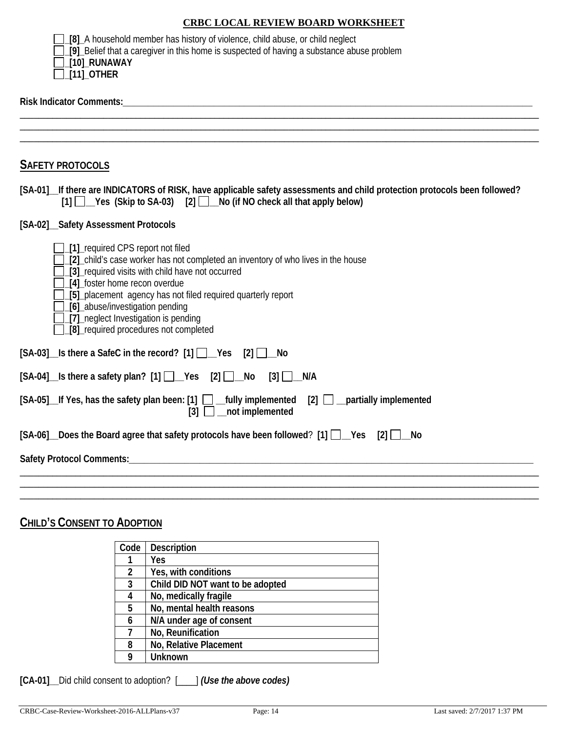| [8] A household member has history of violence, child abuse, or child neglect                    |
|--------------------------------------------------------------------------------------------------|
| $\Box$ [9] Belief that a caregiver in this home is suspected of having a substance abuse problem |
| $\Box$ [10]_RUNAWAY                                                                              |
| $\Box$ [11] OTHER                                                                                |

#### **Risk Indicator Comments:***\_\_\_\_\_\_\_\_\_\_\_\_\_\_\_\_\_\_\_\_\_\_\_\_\_\_\_\_\_\_\_\_\_\_\_\_\_\_\_\_\_\_\_\_\_\_\_\_\_\_\_\_\_\_\_\_\_\_\_\_\_\_\_\_\_\_\_\_\_\_\_\_\_\_\_\_\_\_\_\_\_*

| <b>SAFETY PROTOCOLS</b>                                                                                                                                                                                                                                                                                                                                                                                |
|--------------------------------------------------------------------------------------------------------------------------------------------------------------------------------------------------------------------------------------------------------------------------------------------------------------------------------------------------------------------------------------------------------|
| [SA-01] If there are INDICATORS of RISK, have applicable safety assessments and child protection protocols been followed?<br>[1] Yes (Skip to SA-03) [2] No (if NO check all that apply below)                                                                                                                                                                                                         |
| [SA-02] Safety Assessment Protocols                                                                                                                                                                                                                                                                                                                                                                    |
| [1] required CPS report not filed<br>[2] child's case worker has not completed an inventory of who lives in the house<br>[3] required visits with child have not occurred<br>[4] foster home recon overdue<br>[5] placement agency has not filed required quarterly report<br>_[6]_abuse/investigation pending<br>$\sqrt{2}$ neglect Investigation is pending<br>[8] required procedures not completed |
| $[SA-03]$ Is there a SafeC in the record? $[1]$ $\Box$ Yes $[2]$ $\Box$ No                                                                                                                                                                                                                                                                                                                             |
| $[SA-04]$ Is there a safety plan? $[1]$ $\Box$ Yes $[2]$ $\Box$ No<br>$[3]$ $\Box$ N/A                                                                                                                                                                                                                                                                                                                 |
| [SA-05]_If Yes, has the safety plan been: [1] □ _fully implemented<br>$[2]$ __ partially implemented<br>$[3]$ $\Box$ not implemented                                                                                                                                                                                                                                                                   |
| $[SA-06]$ Does the Board agree that safety protocols have been followed? $[1]$ $[$ $[$                                                                                                                                                                                                                                                                                                                 |
|                                                                                                                                                                                                                                                                                                                                                                                                        |
|                                                                                                                                                                                                                                                                                                                                                                                                        |

### **CHILD'S CONSENT TO ADOPTION**

| Code           | Description                      |
|----------------|----------------------------------|
|                | Yes                              |
| $\overline{2}$ | Yes, with conditions             |
| 3              | Child DID NOT want to be adopted |
|                | No, medically fragile            |
| 5              | No, mental health reasons        |
| 6              | N/A under age of consent         |
|                | No, Reunification                |
| 8              | No, Relative Placement           |
|                | <b>Unknown</b>                   |

**[CA-01]\_\_**Did child consent to adoption? [\_\_\_\_] *(Use the above codes)*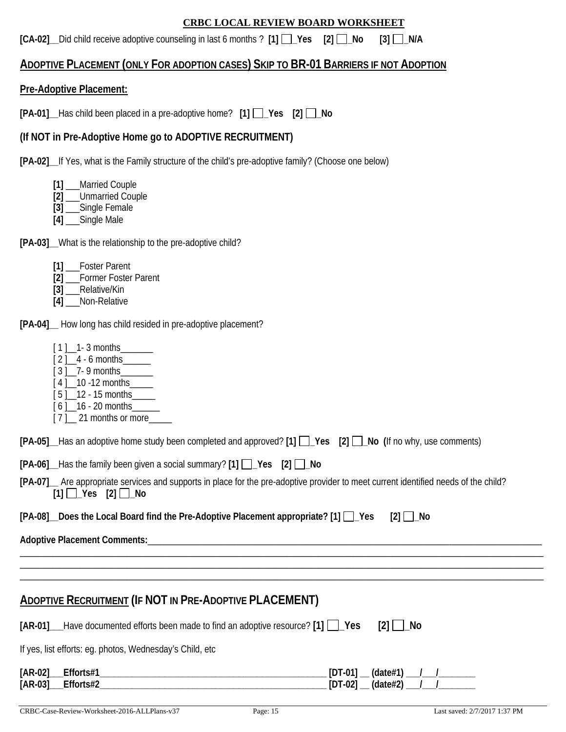**[CA-02]** Did child receive adoptive counseling in last 6 months ? [1]  $\Box$  Yes [2]  $\Box$  No [3]  $\Box$  N/A

### **ADOPTIVE PLACEMENT (ONLY FOR ADOPTION CASES) SKIP TO BR-01 BARRIERS IF NOT ADOPTION**

### **Pre-Adoptive Placement:**

**[PA-01]\_\_**Has child been placed in a pre-adoptive home? **[1] \_Yes [2] \_No** 

### **(If NOT in Pre-Adoptive Home go to ADOPTIVE RECRUITMENT)**

**[PA-02]\_\_**If Yes, what is the Family structure of the child's pre-adoptive family? (Choose one below)

- **[1]** \_\_\_Married Couple
- **[2]** \_\_\_Unmarried Couple
- **[3]** \_\_\_Single Female
- **[4]** \_\_\_Single Male

**[PA-03]\_\_**What is the relationship to the pre-adoptive child?

| $[1]$<br><b>Foster Parent</b> |
|-------------------------------|
|-------------------------------|

- **[2]** \_\_\_Former Foster Parent
- **[3]** \_\_\_Relative/Kin
- **[4]** \_\_\_Non-Relative

**[PA-04]\_\_** How long has child resided in pre-adoptive placement?

- $\lceil 1 \rceil$  1- 3 months
- $[2]_{4}$  6 months
- $\frac{1}{3}$   $\frac{1}{2}$  9 months
- [4] 10 -12 months
- [ 5 ]<sup>12</sup> 15 months
- $[6]$  16 20 months
- $[7]$  21 months or more

|  |  |  |  |  |  |  |  |  | [PA-05] Has an adoptive home study been completed and approved? [1] 1 _Pes [2] 1 _No (If no why, use comments) |
|--|--|--|--|--|--|--|--|--|----------------------------------------------------------------------------------------------------------------|
|--|--|--|--|--|--|--|--|--|----------------------------------------------------------------------------------------------------------------|

|  |  | [PA-06] _Has the family been given a social summary? [1] $\Box$ Yes [2] $\Box$ No |  |  |  |
|--|--|-----------------------------------------------------------------------------------|--|--|--|
|--|--|-----------------------------------------------------------------------------------|--|--|--|

| [PA-07]_ Are appropriate services and supports in place for the pre-adoptive provider to meet current identified needs of the child? |
|--------------------------------------------------------------------------------------------------------------------------------------|
| $[1]$ $\Box$ Yes $[2]$ $\Box$ No                                                                                                     |

\_\_\_\_\_\_\_\_\_\_\_\_\_\_\_\_\_\_\_\_\_\_\_\_\_\_\_\_\_\_\_\_\_\_\_\_\_\_\_\_\_\_\_\_\_\_\_\_\_\_\_\_\_\_\_\_\_\_\_\_\_\_\_\_\_\_\_\_\_\_\_\_\_\_\_\_\_\_\_\_\_\_\_\_\_\_\_\_\_\_\_\_\_\_\_\_\_\_\_\_\_\_\_\_\_\_\_\_\_\_\_\_\_ \_\_\_\_\_\_\_\_\_\_\_\_\_\_\_\_\_\_\_\_\_\_\_\_\_\_\_\_\_\_\_\_\_\_\_\_\_\_\_\_\_\_\_\_\_\_\_\_\_\_\_\_\_\_\_\_\_\_\_\_\_\_\_\_\_\_\_\_\_\_\_\_\_\_\_\_\_\_\_\_\_\_\_\_\_\_\_\_\_\_\_\_\_\_\_\_\_\_\_\_\_\_\_\_\_\_\_\_\_\_\_\_\_ \_\_\_\_\_\_\_\_\_\_\_\_\_\_\_\_\_\_\_\_\_\_\_\_\_\_\_\_\_\_\_\_\_\_\_\_\_\_\_\_\_\_\_\_\_\_\_\_\_\_\_\_\_\_\_\_\_\_\_\_\_\_\_\_\_\_\_\_\_\_\_\_\_\_\_\_\_\_\_\_\_\_\_\_\_\_\_\_\_\_\_\_\_\_\_\_\_\_\_\_\_\_\_\_\_\_\_\_\_\_\_\_\_

**[PA-08]** Does the Local Board find the Pre-Adoptive Placement appropriate?  $[1]$   $\Box$  Yes [2]  $\Box$  No

| Adoptive<br>· Placement<br>: Comments: |  |
|----------------------------------------|--|
|                                        |  |

### **ADOPTIVE RECRUITMENT (IF NOT IN PRE-ADOPTIVE PLACEMENT)**

| $[AR-01]$ Have documented efforts been made to find an adoptive resource? $[1]$ Yes [2] No |  |
|--------------------------------------------------------------------------------------------|--|
| If yes, list efforts: eg. photos, Wednesday's Child, etc                                   |  |

| [AR-02]<br>Efforts#1   | <b>IDT-011</b> | (data#1) |  |
|------------------------|----------------|----------|--|
| $[AR-03]$<br>Efforts#2 | $[DT-02]$      | (data#2) |  |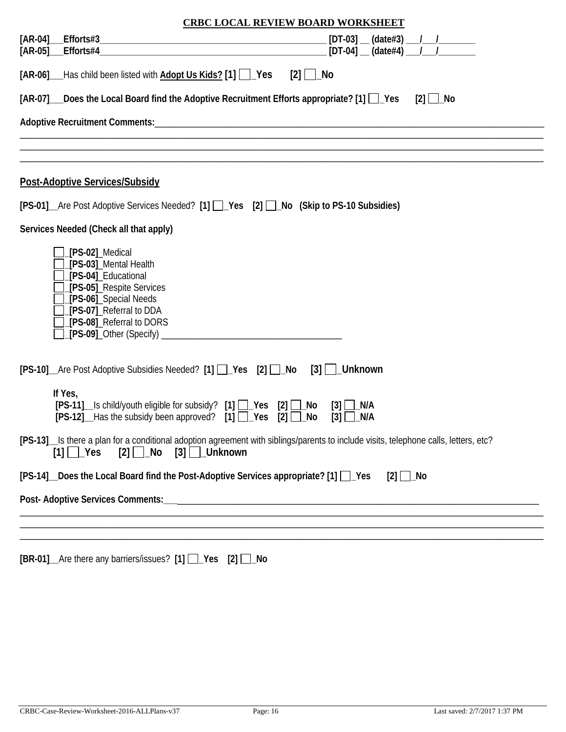| <b>CRBC LOCAL REVIEW BOARD WORKSHEET</b>                                                                                                                                                           |  |  |  |  |
|----------------------------------------------------------------------------------------------------------------------------------------------------------------------------------------------------|--|--|--|--|
|                                                                                                                                                                                                    |  |  |  |  |
| $[DT-04]$ (date#4) $1$<br>[AR-05] Efforts#4                                                                                                                                                        |  |  |  |  |
| [AR-06] ___ Has child been listed with <b>Adopt Us Kids?</b> [1] $\vert$ ___ Yes<br>$[2]$   $\lfloor$ No                                                                                           |  |  |  |  |
| $[AR-07]$ Does the Local Board find the Adoptive Recruitment Efforts appropriate? [1] $\Box$ Yes<br>$[2]$ $\Box$ No                                                                                |  |  |  |  |
|                                                                                                                                                                                                    |  |  |  |  |
|                                                                                                                                                                                                    |  |  |  |  |
| <b>Post-Adoptive Services/Subsidy</b>                                                                                                                                                              |  |  |  |  |
| [PS-01] Are Post Adoptive Services Needed? [1] Pes [2] No (Skip to PS-10 Subsidies)                                                                                                                |  |  |  |  |
| Services Needed (Check all that apply)                                                                                                                                                             |  |  |  |  |
| [PS-02]_Medical<br>[PS-03]_Mental Health<br>[PS-04]_Educational<br>[PS-05]_Respite Services<br>[PS-06]_Special Needs<br>[PS-07]_Referral to DDA<br>[PS-08]_Referral to DORS                        |  |  |  |  |
| [PS-10]_Are Post Adoptive Subsidies Needed? [1] □_Yes [2] □_No<br>$[3]$   $\lfloor$ Unknown                                                                                                        |  |  |  |  |
| If Yes,<br>[PS-11] __Is child/youth eligible for subsidy? [1] __Yes [2] __No<br>_N/A<br>$[3]$<br>$[PS-12]$ Has the subsidy been approved? $[1]$ $\Box$ Yes $[2]$ $\Box$ No<br>N/A<br>[3]           |  |  |  |  |
| [PS-13] _Is there a plan for a conditional adoption agreement with siblings/parents to include visits, telephone calls, letters, etc?<br>$[3]$ $\Box$ Unknown<br>$[1] \Box$ Yes<br>$[2]$ $\Box$ No |  |  |  |  |
| [PS-14] Does the Local Board find the Post-Adoptive Services appropriate? [1] Pes<br>$[2]$ $\Box$ No                                                                                               |  |  |  |  |
|                                                                                                                                                                                                    |  |  |  |  |
|                                                                                                                                                                                                    |  |  |  |  |
|                                                                                                                                                                                                    |  |  |  |  |

|  |  | [BR-01] _Are there any barriers/issues? [1] __Yes [2] __No |  |  |
|--|--|------------------------------------------------------------|--|--|
|--|--|------------------------------------------------------------|--|--|